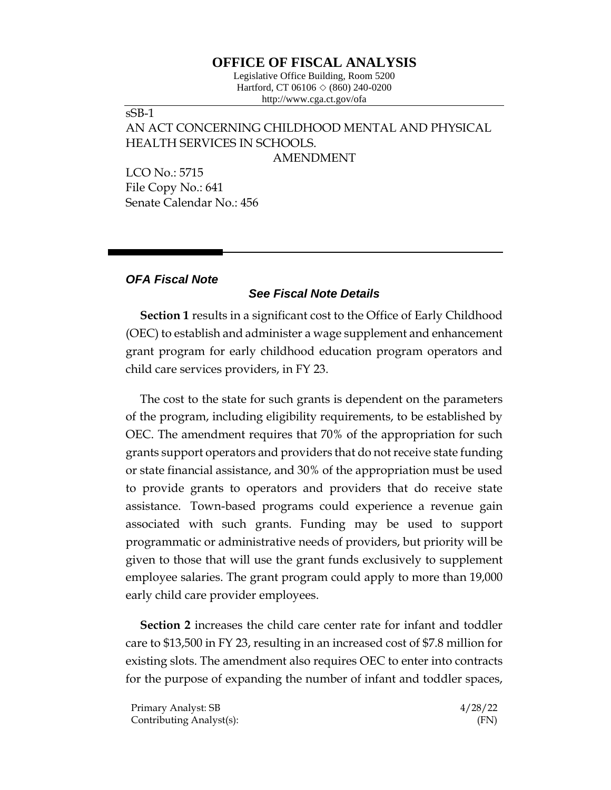## **OFFICE OF FISCAL ANALYSIS**

Legislative Office Building, Room 5200 Hartford, CT 06106  $\Diamond$  (860) 240-0200 http://www.cga.ct.gov/ofa

## sSB-1 AN ACT CONCERNING CHILDHOOD MENTAL AND PHYSICAL HEALTH SERVICES IN SCHOOLS.

AMENDMENT

LCO No.: 5715 File Copy No.: 641 Senate Calendar No.: 456

## *OFA Fiscal Note*

## *See Fiscal Note Details*

**Section 1** results in a significant cost to the Office of Early Childhood (OEC) to establish and administer a wage supplement and enhancement grant program for early childhood education program operators and child care services providers, in FY 23.

The cost to the state for such grants is dependent on the parameters of the program, including eligibility requirements, to be established by OEC. The amendment requires that 70% of the appropriation for such grants support operators and providers that do not receive state funding or state financial assistance, and 30% of the appropriation must be used to provide grants to operators and providers that do receive state assistance. Town-based programs could experience a revenue gain associated with such grants. Funding may be used to support programmatic or administrative needs of providers, but priority will be given to those that will use the grant funds exclusively to supplement employee salaries. The grant program could apply to more than 19,000 early child care provider employees.

**Section 2** increases the child care center rate for infant and toddler care to \$13,500 in FY 23, resulting in an increased cost of \$7.8 million for existing slots. The amendment also requires OEC to enter into contracts for the purpose of expanding the number of infant and toddler spaces,

Primary Analyst: SB 4/28/22 Contributing Analyst(s): (FN)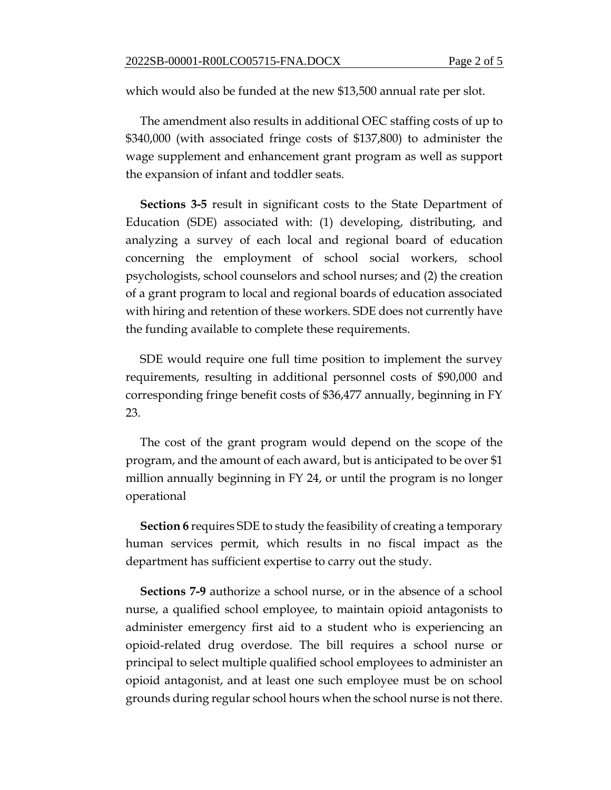which would also be funded at the new \$13,500 annual rate per slot.

The amendment also results in additional OEC staffing costs of up to \$340,000 (with associated fringe costs of \$137,800) to administer the wage supplement and enhancement grant program as well as support the expansion of infant and toddler seats.

**Sections 3-5** result in significant costs to the State Department of Education (SDE) associated with: (1) developing, distributing, and analyzing a survey of each local and regional board of education concerning the employment of school social workers, school psychologists, school counselors and school nurses; and (2) the creation of a grant program to local and regional boards of education associated with hiring and retention of these workers. SDE does not currently have the funding available to complete these requirements.

SDE would require one full time position to implement the survey requirements, resulting in additional personnel costs of \$90,000 and corresponding fringe benefit costs of \$36,477 annually, beginning in FY 23.

The cost of the grant program would depend on the scope of the program, and the amount of each award, but is anticipated to be over \$1 million annually beginning in FY 24, or until the program is no longer operational

**Section 6** requires SDE to study the feasibility of creating a temporary human services permit, which results in no fiscal impact as the department has sufficient expertise to carry out the study.

**Sections 7-9** authorize a school nurse, or in the absence of a school nurse, a qualified school employee, to maintain opioid antagonists to administer emergency first aid to a student who is experiencing an opioid-related drug overdose. The bill requires a school nurse or principal to select multiple qualified school employees to administer an opioid antagonist, and at least one such employee must be on school grounds during regular school hours when the school nurse is not there.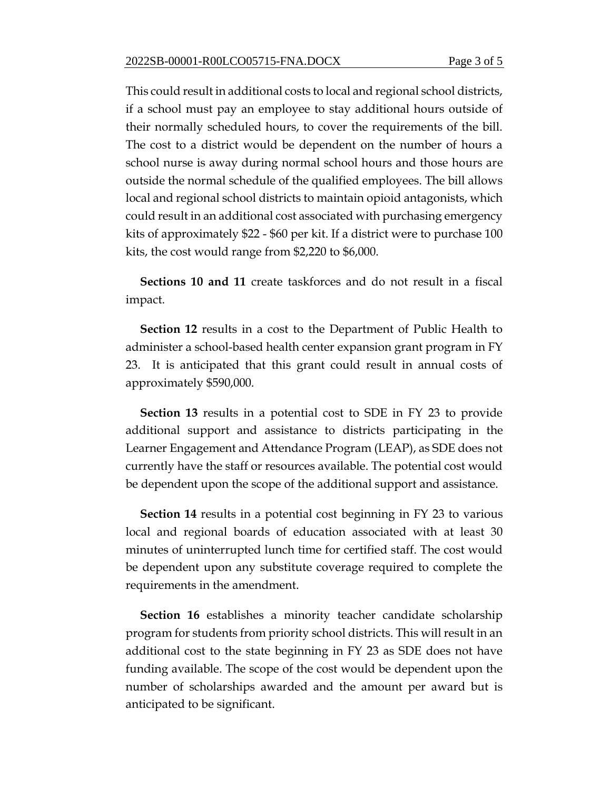This could result in additional costs to local and regional school districts, if a school must pay an employee to stay additional hours outside of their normally scheduled hours, to cover the requirements of the bill. The cost to a district would be dependent on the number of hours a school nurse is away during normal school hours and those hours are outside the normal schedule of the qualified employees. The bill allows local and regional school districts to maintain opioid antagonists, which could result in an additional cost associated with purchasing emergency kits of approximately \$22 - \$60 per kit. If a district were to purchase 100 kits, the cost would range from \$2,220 to \$6,000.

**Sections 10 and 11** create taskforces and do not result in a fiscal impact.

**Section 12** results in a cost to the Department of Public Health to administer a school-based health center expansion grant program in FY 23. It is anticipated that this grant could result in annual costs of approximately \$590,000.

**Section 13** results in a potential cost to SDE in FY 23 to provide additional support and assistance to districts participating in the Learner Engagement and Attendance Program (LEAP), as SDE does not currently have the staff or resources available. The potential cost would be dependent upon the scope of the additional support and assistance.

**Section 14** results in a potential cost beginning in FY 23 to various local and regional boards of education associated with at least 30 minutes of uninterrupted lunch time for certified staff. The cost would be dependent upon any substitute coverage required to complete the requirements in the amendment.

**Section 16** establishes a minority teacher candidate scholarship program for students from priority school districts. This will result in an additional cost to the state beginning in FY 23 as SDE does not have funding available. The scope of the cost would be dependent upon the number of scholarships awarded and the amount per award but is anticipated to be significant.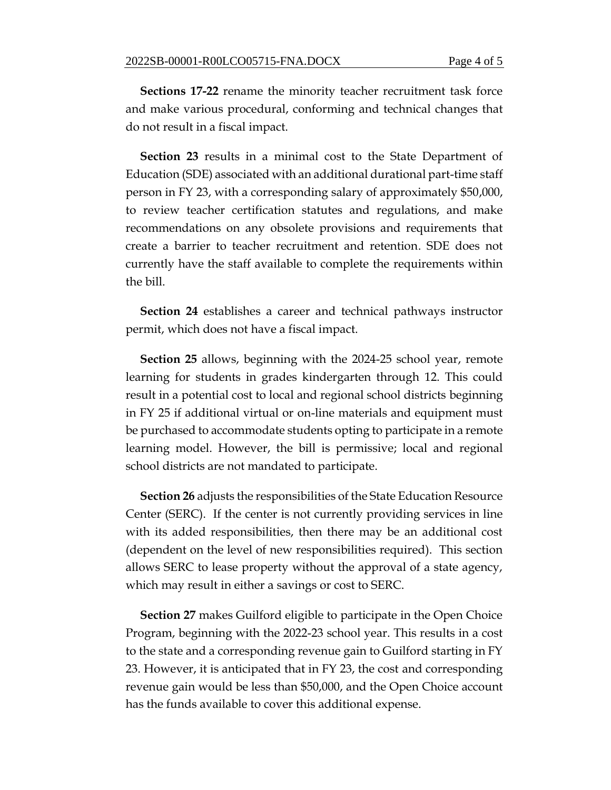**Sections 17-22** rename the minority teacher recruitment task force and make various procedural, conforming and technical changes that do not result in a fiscal impact.

**Section 23** results in a minimal cost to the State Department of Education (SDE) associated with an additional durational part-time staff person in FY 23, with a corresponding salary of approximately \$50,000, to review teacher certification statutes and regulations, and make recommendations on any obsolete provisions and requirements that create a barrier to teacher recruitment and retention. SDE does not currently have the staff available to complete the requirements within the bill.

**Section 24** establishes a career and technical pathways instructor permit, which does not have a fiscal impact.

**Section 25** allows, beginning with the 2024-25 school year, remote learning for students in grades kindergarten through 12. This could result in a potential cost to local and regional school districts beginning in FY 25 if additional virtual or on-line materials and equipment must be purchased to accommodate students opting to participate in a remote learning model. However, the bill is permissive; local and regional school districts are not mandated to participate.

**Section 26** adjusts the responsibilities of the State Education Resource Center (SERC). If the center is not currently providing services in line with its added responsibilities, then there may be an additional cost (dependent on the level of new responsibilities required). This section allows SERC to lease property without the approval of a state agency, which may result in either a savings or cost to SERC.

**Section 27** makes Guilford eligible to participate in the Open Choice Program, beginning with the 2022-23 school year. This results in a cost to the state and a corresponding revenue gain to Guilford starting in FY 23. However, it is anticipated that in FY 23, the cost and corresponding revenue gain would be less than \$50,000, and the Open Choice account has the funds available to cover this additional expense.